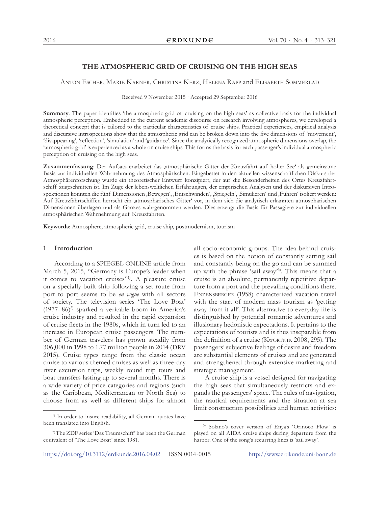# **THE ATMOSPHERIC GRID OF CRUISING ON THE HIGH SEAS**

Anton Escher, Marie Karner, Christina Kerz, Helena Rapp and Elisabeth Sommerlad

Received 9 November 2015 · Accepted 29 September 2016

**Summary**: The paper identifies 'the atmospheric grid of cruising on the high seas' as collective basis for the individual atmospheric perception. Embedded in the current academic discourse on research involving atmospheres, we developed a theoretical concept that is tailored to the particular characteristics of cruise ships. Practical experiences, empirical analysis and discursive introspections show that the atmospheric grid can be broken down into the five dimensions of 'movement', 'disappearing', 'reflection', 'simulation' and 'guidance'. Since the analytically recognized atmospheric dimensions overlap, the 'atmospheric grid' is experienced as a whole on cruise ships. This forms the basis for each passenger's individual atmospheric perception of cruising on the high seas.

**Zusammenfassung**: Der Aufsatz erarbeitet das 'atmosphärische Gitter der Kreuzfahrt auf hoher See' als gemeinsame Basis zur individuellen Wahrnehmung des Atmosphärischen. Eingebettet in den aktuellen wissenschaftlichen Diskurs der Atmosphärenforschung wurde ein theoretischer Entwurf konzipiert, der auf die Besonderheiten des Ortes Kreuzfahrtschiff zugeschnitten ist. Im Zuge der lebensweltlichen Erfahrungen, der empirischen Analysen und der diskursiven Introspektionen konnten die fünf Dimensionen 'Bewegen', 'Entschwinden', 'Spiegeln', 'Simulieren' und 'Führen' isoliert werden: Auf Kreuzfahrtschiffen herrscht ein 'atmosphärisches Gitter' vor, in dem sich die analytisch erkannten atmosphärischen Dimensionen überlagen und als Ganzes wahrgenommen werden. Dies erzeugt die Basis für Passagiere zur individuellen atmosphärischen Wahrnehmung auf Kreuzfahrten.

**Keywords**: Atmosphere, atmospheric grid, cruise ship, postmodernism, tourism

#### **1 Introduction**

According to a SPIEGEL ONLINE article from March 5, 2015, "Germany is Europe's leader when it comes to vacation cruises"1) . A pleasure cruise on a specially built ship following a set route from port to port seems to be *en vogue* with all sectors of society. The television series 'The Love Boat' (1977–86)<sup>2)</sup> sparked a veritable boom in America's cruise industry and resulted in the rapid expansion of cruise fleets in the 1980s, which in turn led to an increase in European cruise passengers. The number of German travelers has grown steadily from 306,000 in 1998 to 1.77 million people in 2014 (DRV 2015). Cruise types range from the classic ocean cruise to various themed cruises as well as three-day river excursion trips, weekly round trip tours and boat transfers lasting up to several months. There is a wide variety of price categories and regions (such as the Caribbean, Mediterranean or North Sea) to choose from as well as different ships for almost

all socio-economic groups. The idea behind cruises is based on the notion of constantly setting sail and constantly being on the go and can be summed up with the phrase 'sail away'3) . This means that a cruise is an absolute, permanently repetitive departure from a port and the prevailing conditions there. Enzensberger (1958) characterized vacation travel with the start of modern mass tourism as 'getting away from it all'. This alternative to everyday life is distinguished by potential romantic adventures and illusionary hedonistic expectations. It pertains to the expectations of tourists and is thus inseparable from the definition of a cruise (Kwortnik 2008, 295). The passengers' subjective feelings of desire and freedom are substantial elements of cruises and are generated and strengthened through extensive marketing and strategic management.

A cruise ship is a vessel designed for navigating the high seas that simultaneously restricts and expands the passengers' space. The rules of navigation, the nautical requirements and the situation at sea limit construction possibilities and human activities:

<sup>&</sup>lt;sup>1)</sup> In order to insure readability, all German quotes have been translated into English.

<sup>2)</sup> The ZDF series 'Das Traumschiff' has been the German equivalent of 'The Love Boat' since 1981.

<sup>3)</sup> Solano's cover version of Enya's 'Orinoco Flow' is played on all AIDA cruise ships during departure from the harbor. One of the song's recurring lines is 'sail away'.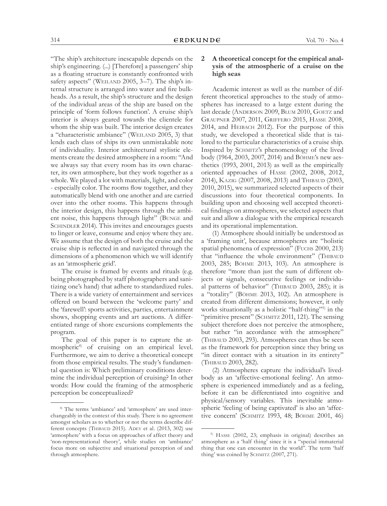"The ship's architecture inescapable depends on the ship's engineering. (...) [Therefore] a passengers' ship as a floating structure is constantly confronted with safety aspects" (WEILAND 2005, 3-7). The ship's internal structure is arranged into water and fire bulkheads. As a result, the ship's structure and the design of the individual areas of the ship are based on the principle of 'form follows function'. A cruise ship's interior is always geared towards the clientele for whom the ship was built. The interior design creates a "characteristic ambiance" (WEILAND 2005, 3) that lends each class of ships its own unmistakable note of individuality. Interior architectural stylistic elements create the desired atmosphere in a room: "And we always say that every room has its own character, its own atmosphere, but they work together as a whole. We played a lot with materials, light, and color - especially color. The rooms flow together, and they automatically blend with one another and are carried over into the other rooms. This happens through the interior design, this happens through the ambient noise, this happens through light" (Bunge and SCHINDLER 2014). This invites and encourages guests to linger or leave, consume and enjoy where they are. We assume that the design of both the cruise and the cruise ship is reflected in and navigated through the dimensions of a phenomenon which we will identify as an 'atmospheric grid'.

The cruise is framed by events and rituals (e.g. being photographed by staff photographers and sanitizing one's hand) that adhere to standardized rules. There is a wide variety of entertainment and services offered on board between the 'welcome party' and the 'farewell': sports activities, parties, entertainment shows, shopping events and art auctions. A differentiated range of shore excursions complements the program.

The goal of this paper is to capture the atmospheric4) of cruising on an empirical level. Furthermore, we aim to derive a theoretical concept from those empirical results. The study's fundamental question is: Which preliminary conditions determine the individual perception of cruising? In other words: How could the framing of the atmospheric perception be conceptualized?

### **2 A theoretical concept for the empirical analysis of the atmospheric of a cruise on the high seas**

Academic interest as well as the number of different theoretical approaches to the study of atmospheres has increased to a large extent during the last decade (ANDERSON 2009, BLUM 2010, GOETZ and Graupner 2007, 2011, Griffero 2015, Hasse 2008, 2014, and Heibach 2012). For the purpose of this study, we developed a theoretical slide that is tailored to the particular characteristics of a cruise ship. Inspired by Schmitz's phenomenology of the lived body (1964, 2003, 2007, 2014) and Böhme's new aesthetics (1993, 2001, 2013) as well as the empirically oriented approaches of Hasse (2002, 2008, 2012, 2014), KAZIG (2007, 2008, 2013) and THIBAUD (2003, 2010, 2015), we summarized selected aspects of their discussions into four theoretical components. In building upon and choosing well accepted theoretical findings on atmospheres, we selected aspects that suit and allow a dialogue with the empirical research and its operational implementation.

(1) Atmosphere should initially be understood as a 'framing unit', because atmospheres are "holistic spatial phenomena of expression" (FUCHS 2000, 213) that "influence the whole environment" (THIBAUD 2003, 285; Böhme 2013, 103). An atmosphere is therefore "more than just the sum of different objects or signals, consecutive feelings or individual patterns of behavior" (THIBAUD 2003, 285); it is a "totality" (Böhme 2013, 102). An atmosphere is created from different dimensions; however, it only works situationally as a holistic "half-thing"<sup>5)</sup> in the "primitive present" (SCHMITZ 2011, 121). The sensing subject therefore does not perceive the atmosphere, but rather "in accordance with the atmosphere" (THIBAUD 2003, 293). Atmospheres can thus be seen as the framework for perception since they bring us "in direct contact with a situation in its entirety" (Thibaud 2003, 282).

(2) Atmospheres capture the individual's livedbody as an 'affective-emotional feeling'. An atmosphere is experienced immediately and as a feeling, before it can be differentiated into cognitive and physical/sensory variables. This inevitable atmospheric 'feeling of being captivated' is also an 'affective concern' (Schmitz 1993, 48; Böhme 2001, 46)

<sup>4)</sup> The terms 'ambiance' and 'atmosphere' are used interchangeably in the context of this study. There is no agreement amongst scholars as to whether or not the terms describe different concepts (THIBAUD 2015). ADEY et al. (2013, 302) use 'atmosphere' with a focus on approaches of affect theory and 'non-representational theory', while studies on 'ambiance' focus more on subjective and situational perception of and through atmosphere.

<sup>5)</sup> Hasse (2002, 23; emphasis in original) describes an atmosphere as a 'half thing' since it is a "special immaterial thing that one can encounter in the world". The term 'half thing' was coined by SCHMITZ (2007, 271).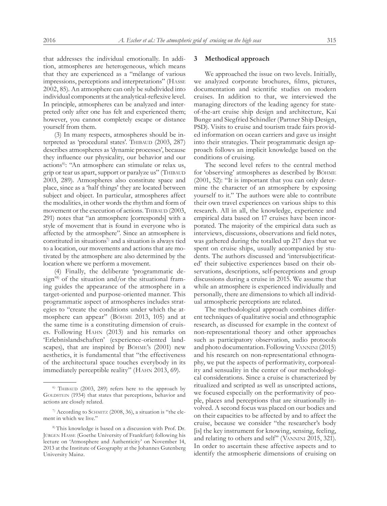that addresses the individual emotionally. In addition, atmospheres are heterogeneous, which means that they are experienced as a "mélange of various impressions, perceptions and interpretations" (Hasse 2002, 85). An atmosphere can only be subdivided into individual components at the analytical-reflexive level. In principle, atmospheres can be analyzed and interpreted only after one has felt and experienced them; however, you cannot completely escape or distance yourself from them.

(3) In many respects, atmospheres should be interpreted as 'procedural states'. THIBAUD (2003, 287) describes atmospheres as 'dynamic processes', because they influence our physicality, our behavior and our actions<sup>6)</sup>: "An atmosphere can stimulate or relax us, grip or tear us apart, support or paralyze us" (THIBAUD 2003, 289). Atmospheres also constitute space and place, since as a 'half things' they are located between subject and object. In particular, atmospheres affect the modalities, in other words the rhythm and form of movement or the execution of actions. THIBAUD (2003, 291) notes that "an atmosphere [corresponds] with a style of movement that is found in everyone who is affected by the atmosphere". Since an atmosphere is constituted in situations<sup>7)</sup> and a situation is always tied to a location, our movements and actions that are motivated by the atmosphere are also determined by the location where we perform a movement.

(4) Finally, the deliberate 'programmatic design'8) of the situation and/or the situational framing guides the appearance of the atmosphere in a target-oriented and purpose-oriented manner. This programmatic aspect of atmospheres includes strategies to "create the conditions under which the atmosphere can appear" (Böhme 2013, 105) and at the same time is a constituting dimension of cruises. Following Hahn (2013) and his remarks on 'Erlebnislandschaften' (experience-oriented landscapes), that are inspired by Böhme's (2001) new aesthetics, it is fundamental that "the effectiveness of the architectural space touches everybody in its immediately perceptible reality" (HAHN 2013, 69).

#### **3 Methodical approach**

We approached the issue on two levels. Initially, we analyzed corporate brochures, films, pictures, documentation and scientific studies on modern cruises. In addition to that, we interviewed the managing directors of the leading agency for stateof-the-art cruise ship design and architecture, Kai Bunge and Siegfried Schindler (Partner Ship Design, PSD). Visits to cruise and tourism trade fairs provided information on ocean carriers and gave us insight into their strategies. Their programmatic design approach follows an implicit knowledge based on the conditions of cruising.

The second level refers to the central method for 'observing' atmospheres as described by Böhme (2001, 52): "It is important that you can only determine the character of an atmosphere by exposing yourself to it." The authors were able to contribute their own travel experiences on various ships to this research. All in all, the knowledge, experience and empirical data based on 17 cruises have been incorporated. The majority of the empirical data such as interviews, discussions, observations and field notes, was gathered during the totalled up 217 days that we spent on cruise ships, usually accompanied by students. The authors discussed and 'intersubjectificated' their subjective experiences based on their observations, descriptions, self-perceptions and group discussions during a cruise in 2015. We assume that while an atmosphere is experienced individually and personally, there are dimensions to which all individual atmospheric perceptions are related.

The methodological approach combines different techniques of qualitative social and ethnographic research, as discussed for example in the context of non-representational theory and other approaches such as participatory observation, audio protocols and photo documentation. Following Vannini (2015) and his research on non-representational ethnography, we put the aspects of performativity, corporeality and sensuality in the center of our methodological considerations. Since a cruise is characterized by ritualized and scripted as well as unscripted actions, we focused especially on the performativity of people, places and perceptions that are situationally involved. A second focus was placed on our bodies and on their capacities to be affected by and to affect the cruise, because we consider "the researcher's body [is] the key instrument for knowing, sensing, feeling, and relating to others and self" (Vannini 2015, 321). In order to ascertain these affective aspects and to identify the atmospheric dimensions of cruising on

<sup>&</sup>lt;sup>6)</sup> THIBAUD (2003, 289) refers here to the approach by GOLDSTEIN (1934) that states that perceptions, behavior and actions are closely related.

 $\alpha$  According to SCHMITZ (2008, 36), a situation is "the element in which we live."

<sup>8)</sup> This knowledge is based on a discussion with Prof. Dr. Jürgen Hasse (Goethe University of Frankfurt) following his lecture on 'Atmosphere and Authenticity' on November 14, 2013 at the Institute of Geography at the Johannes Gutenberg University Mainz.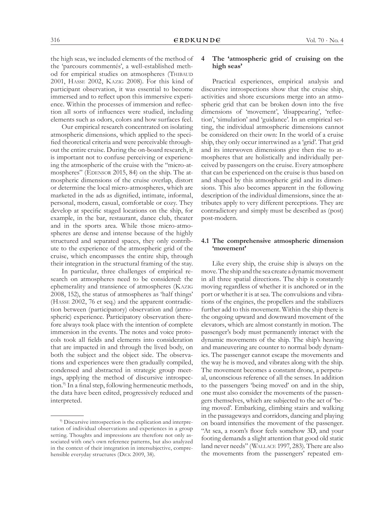the high seas, we included elements of the method of the 'parcours commentés', a well-established method for empirical studies on atmospheres (THIBAUD 2001, Hasse 2002, Kazig 2008). For this kind of participant observation, it was essential to become immersed and to reflect upon this immersive experience. Within the processes of immersion and reflection all sorts of influences were studied, including elements such as odors, colors and how surfaces feel.

Our empirical research concentrated on isolating atmospheric dimensions, which applied to the specified theoretical criteria and were perceivable throughout the entire cruise. During the on-board research, it is important not to confuse perceiving or experiencing the atmospheric of the cruise with the "micro-atmospheres" (EDENSOR 2015, 84) on the ship. The atmospheric dimensions of the cruise overlap, distort or determine the local micro-atmospheres, which are marketed in the ads as dignified, intimate, informal, personal, modern, casual, comfortable or cozy. They develop at specific staged locations on the ship, for example, in the bar, restaurant, dance club, theater and in the sports area. While those micro-atmospheres are dense and intense because of the highly structured and separated spaces, they only contribute to the experience of the atmospheric grid of the cruise, which encompasses the entire ship, through their integration in the structural framing of the stay.

In particular, three challenges of empirical research on atmospheres need to be considered: the ephemerality and transience of atmospheres (Kazig 2008, 152), the status of atmospheres as 'half things' (Hasse 2002, 76 et seq.) and the apparent contradiction between (participatory) observation and (atmospheric) experience. Participatory observation therefore always took place with the intention of complete immersion in the events. The notes and voice protocols took all fields and elements into consideration that are impacted in and through the lived body, on both the subject and the object side. The observations and experiences were then gradually compiled, condensed and abstracted in strategic group meetings, applying the method of discursive introspection.9) In a final step, following hermeneutic methods, the data have been edited, progressively reduced and interpreted.

## **4 The 'atmospheric grid of cruising on the high seas'**

Practical experiences, empirical analysis and discursive introspections show that the cruise ship, activities and shore excursions merge into an atmospheric grid that can be broken down into the five dimensions of 'movement', 'disappearing', 'reflection', 'simulation' and 'guidance'. In an empirical setting, the individual atmospheric dimensions cannot be considered on their own: In the world of a cruise ship, they only occur intertwined as a 'grid'. That grid and its interwoven dimensions give then rise to atmospheres that are holistically and individually perceived by passengers on the cruise. Every atmosphere that can be experienced on the cruise is thus based on and shaped by this atmospheric grid and its dimensions. This also becomes apparent in the following description of the individual dimensions, since the attributes apply to very different perceptions. They are contradictory and simply must be described as (post) post-modern.

# **4.1 The comprehensive atmospheric dimension 'movement'**

Like every ship, the cruise ship is always on the move. The ship and the sea create a dynamic movement in all three spatial directions. The ship is constantly moving regardless of whether it is anchored or in the port or whether it is at sea. The convulsions and vibrations of the engines, the propellers and the stabilizers further add to this movement. Within the ship there is the ongoing upward and downward movement of the elevators, which are almost constantly in motion. The passenger's body must permanently interact with the dynamic movements of the ship. The ship's heaving and maneuvering are counter to normal body dynamics. The passenger cannot escape the movements and the way he is moved, and vibrates along with the ship. The movement becomes a constant drone, a perpetual, unconscious reference of all the senses. In addition to the passengers 'being moved' on and in the ship, one must also consider the movements of the passengers themselves, which are subjected to the act of 'being moved'. Embarking, climbing stairs and walking in the passageways and corridors, dancing and playing on board intensifies the movement of the passenger. "At sea, a room's floor feels somehow 3D, and your footing demands a slight attention that good old static land never needs" (Wallace 1997, 283). There are also the movements from the passengers' repeated em-

<sup>9)</sup> Discursive introspection is the explication and interpretation of individual observations and experiences in a group setting. Thoughts and impressions are therefore not only associated with one's own reference patterns, but also analyzed in the context of their integration in intersubjective, comprehensible everyday structures (Dick 2009, 38).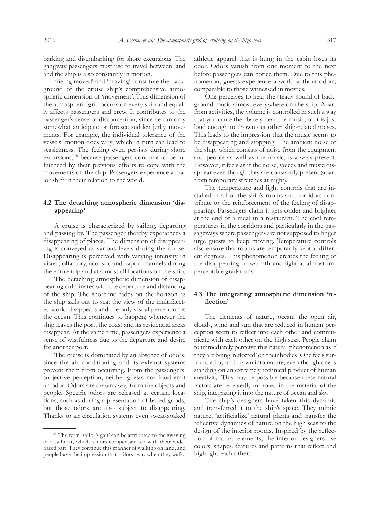barking and disembarking for shore excursions. The gangway passengers must use to travel between land and the ship is also constantly in motion.

'Being moved' and 'moving' constitute the background of the cruise ship's comprehensive atmospheric dimension of 'movement'. This dimension of the atmospheric grid occurs on every ship and equally affects passengers and crew. It contributes to the passenger's sense of disconcertion, since he can only somewhat anticipate or foresee sudden jerky movements. For example, the individual tolerance of the vessels' motion does vary, which in turn can lead to seasickness. The feeling even persists during shore excursions,<sup>10)</sup> because passengers continue to be influenced by their previous efforts to cope with the movements on the ship. Passengers experience a major shift in their relation to the world.

# **4.2 The detaching atmospheric dimension 'disappearing'**

A cruise is characterized by sailing, departing and passing by. The passenger thereby experiences a disappearing of places. The dimension of disappearing is conveyed at various levels during the cruise. Disappearing is perceived with varying intensity in visual, olfactory, acoustic and haptic channels during the entire trip and at almost all locations on the ship.

The detaching atmospheric dimension of disappearing culminates with the departure and distancing of the ship. The shoreline fades on the horizon as the ship sails out to sea; the view of the multifaceted world disappears and the only visual perception is the ocean. This continues to happen; whenever the ship leaves the port, the coast and its residential areas disappear. At the same time, passengers experience a sense of wistfulness due to the departure and desire for another port.

The cruise is dominated by an absence of odors, since the air conditioning and its exhaust systems prevent them from occurring. From the passengers' subjective perception, neither guests nor food emit an odor. Odors are drawn away from the objects and people. Specific odors are released at certain locations, such as during a presentation of baked goods, but those odors are also subject to disappearing. Thanks to air circulation systems even sweat-soaked

athletic apparel that is hung in the cabin loses its odor. Odors vanish from one moment to the next before passengers can notice them. Due to this phenomenon, guests experience a world without odors, comparable to those witnessed in movies.

One perceives to hear the steady sound of background music almost everywhere on the ship. Apart from activities, the volume is controlled in such a way that you can either barely hear the music, or it is just loud enough to drown out other ship-related noises. This leads to the impression that the music seems to be disappearing and stopping. The ambient noise of the ship, which consists of noise from the equipment and people as well as the music, is always present. However, it feels as if the noise, voices and music disappear even though they are constantly present (apart from temporary stretches at night).

The temperature and light controls that are installed in all of the ship's rooms and corridors contribute to the reinforcement of the feeling of disappearing. Passengers claim it gets colder and brighter at the end of a meal in a restaurant. The cool temperatures in the corridors and particularly in the passageways where passengers are not supposed to linger urge guests to keep moving. Temperature controls also ensure that rooms are temporarily kept at different degrees. This phenomenon creates the feeling of the disappearing of warmth and light at almost imperceptible gradations.

### **4.3 The integrating atmospheric dimension 'reflection'**

The elements of nature, ocean, the open air, clouds, wind and sun that are reduced in human perception seem to reflect into each other and communicate with each other on the high seas. People claim to immediately perceive this natural phenomenon as if they are being 'reflected' on their bodies. One feels surrounded by and drawn into nature, even though one is standing on an extremely technical product of human creativity. This may be possible because these natural factors are repeatedly mirrored in the material of the ship, integrating it into the nature of ocean and sky.

The ship's designers have taken this dynamic and transferred it to the ship's space. They mimic nature, 'artificialize' natural plants and transfer the reflective dynamics of nature on the high seas to the design of the interior rooms. Inspired by the reflection of natural elements, the interior designers use colors, shapes, features and patterns that reflect and highlight each other.

<sup>&</sup>lt;sup>10)</sup> The term 'sailor's gait' can be attributed to the swaying of a sailboat, which sailors compensate for with their widebased gait. They continue this manner of walking on land, and people have the impression that sailors sway when they walk.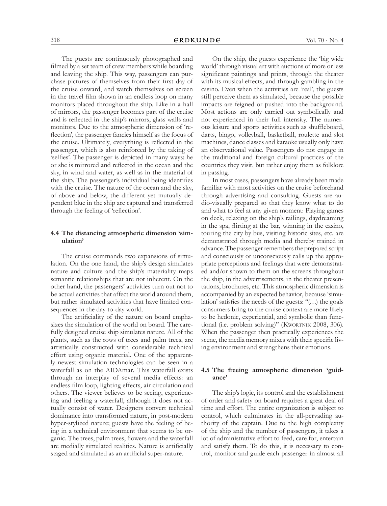The guests are continuously photographed and filmed by a set team of crew members while boarding and leaving the ship. This way, passengers can purchase pictures of themselves from their first day of the cruise onward, and watch themselves on screen in the travel film shown in an endless loop on many monitors placed throughout the ship. Like in a hall of mirrors, the passenger becomes part of the cruise and is reflected in the ship's mirrors, glass walls and monitors. Due to the atmospheric dimension of 'reflection', the passenger fancies himself as the focus of the cruise. Ultimately, everything is reflected in the passenger, which is also reinforced by the taking of 'selfies'. The passenger is depicted in many ways: he or she is mirrored and reflected in the ocean and the sky, in wind and water, as well as in the material of the ship. The passenger's individual being identifies with the cruise. The nature of the ocean and the sky, of above and below, the different yet mutually dependent blue in the ship are captured and transferred through the feeling of 'reflection'.

## **4.4 The distancing atmospheric dimension 'simulation'**

The cruise commands two expansions of simulation. On the one hand, the ship's design simulates nature and culture and the ship's materiality maps semantic relationships that are not inherent. On the other hand, the passengers' activities turn out not to be actual activities that affect the world around them, but rather simulated activities that have limited consequences in the day-to-day world.

The artificiality of the nature on board emphasizes the simulation of the world on board. The carefully designed cruise ship simulates nature. All of the plants, such as the rows of trees and palm trees, are artistically constructed with considerable technical effort using organic material. One of the apparently newest simulation technologies can be seen in a waterfall as on the AIDAmar. This waterfall exists through an interplay of several media effects: an endless film loop, lighting effects, air circulation and others. The viewer believes to be seeing, experiencing and feeling a waterfall, although it does not actually consist of water. Designers convert technical dominance into transformed nature, in post-modern hyper-stylized nature; guests have the feeling of being in a technical environment that seems to be organic. The trees, palm trees, flowers and the waterfall are medially simulated realities. Nature is artificially staged and simulated as an artificial super-nature.

On the ship, the guests experience the 'big wide world' through visual art with auctions of more or less significant paintings and prints, through the theater with its musical effects, and through gambling in the casino. Even when the activities are 'real', the guests still perceive them as simulated, because the possible impacts are feigned or pushed into the background. Most actions are only carried out symbolically and not experienced in their full intensity. The numerous leisure and sports activities such as shuffleboard, darts, bingo, volleyball, basketball, roulette and slot machines, dance classes and karaoke usually only have an observational value. Passengers do not engage in the traditional and foreign cultural practices of the countries they visit, but rather enjoy them as folklore in passing.

In most cases, passengers have already been made familiar with most activities on the cruise beforehand through advertising and consulting. Guests are audio-visually prepared so that they know what to do and what to feel at any given moment: Playing games on deck, relaxing on the ship's railings, daydreaming in the spa, flirting at the bar, winning in the casino, touring the city by bus, visiting historic sites, etc. are demonstrated through media and thereby trained in advance. The passenger remembers the prepared script and consciously or unconsciously calls up the appropriate perceptions and feelings that were demonstrated and/or shown to them on the screens throughout the ship, in the advertisements, in the theater presentations, brochures, etc. This atmospheric dimension is accompanied by an expected behavior, because 'simulation' satisfies the needs of the guests: "(…) the goals consumers bring to the cruise context are more likely to be hedonic, experiential, and symbolic than functional (i.e. problem solving)" (Kwortnik 2008, 306). When the passenger then practically experiences the scene, the media memory mixes with their specific living environment and strengthens their emotions.

### **4.5 The freeing atmospheric dimension 'guidance'**

The ship's logic, its control and the establishment of order and safety on board requires a great deal of time and effort. The entire organization is subject to control, which culminates in the all-pervading authority of the captain. Due to the high complexity of the ship and the number of passengers, it takes a lot of administrative effort to feed, care for, entertain and satisfy them. To do this, it is necessary to control, monitor and guide each passenger in almost all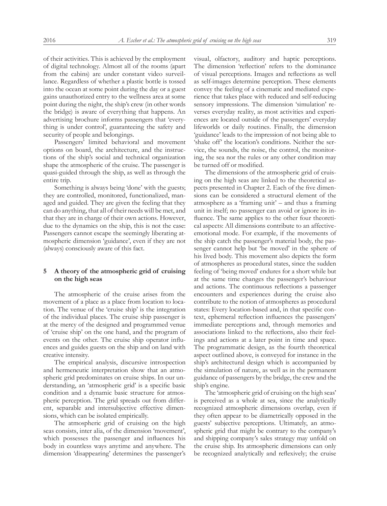of their activities. This is achieved by the employment of digital technology. Almost all of the rooms (apart from the cabins) are under constant video surveillance. Regardless of whether a plastic bottle is tossed into the ocean at some point during the day or a guest gains unauthorized entry to the wellness area at some point during the night, the ship's crew (in other words the bridge) is aware of everything that happens. An advertising brochure informs passengers that 'everything is under control', guaranteeing the safety and security of people and belongings.

Passengers' limited behavioral and movement options on board, the architecture, and the instructions of the ship's social and technical organization shape the atmospheric of the cruise. The passenger is quasi-guided through the ship, as well as through the entire trip.

Something is always being 'done' with the guests; they are controlled, monitored, functionalized, managed and guided. They are given the feeling that they can do anything, that all of their needs will be met, and that they are in charge of their own actions. However, due to the dynamics on the ship, this is not the case: Passengers cannot escape the seemingly liberating atmospheric dimension 'guidance', even if they are not (always) consciously aware of this fact.

# **5 A theory of the atmospheric grid of cruising on the high seas**

The atmospheric of the cruise arises from the movement of a place as a place from location to location. The venue of the 'cruise ship' is the integration of the individual places. The cruise ship passenger is at the mercy of the designed and programmed venue of 'cruise ship' on the one hand, and the program of events on the other. The cruise ship operator influences and guides guests on the ship and on land with creative intensity.

The empirical analysis, discursive introspection and hermeneutic interpretation show that an atmospheric grid predominates on cruise ships. In our understanding, an 'atmospheric grid' is a specific basic condition and a dynamic basic structure for atmospheric perception. The grid spreads out from different, separable and intersubjective effective dimensions, which can be isolated empirically.

The atmospheric grid of cruising on the high seas consists, inter alia, of the dimension 'movement', which possesses the passenger and influences his body in countless ways anytime and anywhere. The dimension 'disappearing' determines the passenger's

visual, olfactory, auditory and haptic perceptions. The dimension 'reflection' refers to the dominance of visual perceptions. Images and reflections as well as self-images determine perception. These elements convey the feeling of a cinematic and mediated experience that takes place with reduced and self-reducing sensory impressions. The dimension 'simulation' reverses everyday reality, as most activities and experiences are located outside of the passengers' everyday lifeworlds or daily routines. Finally, the dimension 'guidance' leads to the impression of not being able to 'shake off' the location's conditions. Neither the service, the sounds, the noise, the control, the monitoring, the sea nor the rules or any other condition may be turned off or modified.

The dimensions of the atmospheric grid of cruising on the high seas are linked to the theoretical aspects presented in Chapter 2. Each of the five dimensions can be considered a structural element of the atmosphere as a 'framing unit' – and thus a framing unit in itself; no passenger can avoid or ignore its influence. The same applies to the other four theoretical aspects: All dimensions contribute to an affectiveemotional mode. For example, if the movements of the ship catch the passenger's material body, the passenger cannot help but 'be moved' in the sphere of his lived body. This movement also depicts the form of atmospheres as procedural states, since the sudden feeling of 'being moved' endures for a short while but at the same time changes the passenger's behaviour and actions. The continuous reflections a passenger encounters and experiences during the cruise also contribute to the notion of atmospheres as procedural states: Every location-based and, in that specific context, ephemeral reflection influences the passengers' immediate perceptions and, through memories and associations linked to the reflections, also their feelings and actions at a later point in time and space. The programmatic design, as the fourth theoretical aspect outlined above, is conveyed for instance in the ship's architectural design which is accompanied by the simulation of nature, as well as in the permanent guidance of passengers by the bridge, the crew and the ship's engine.

The 'atmospheric grid of cruising on the high seas' is perceived as a whole at sea, since the analytically recognized atmospheric dimensions overlap, even if they often appear to be diametrically opposed in the guests' subjective perceptions. Ultimately, an atmospheric grid that might be contrary to the company's and shipping company's sales strategy may unfold on the cruise ship. Its atmospheric dimensions can only be recognized analytically and reflexively; the cruise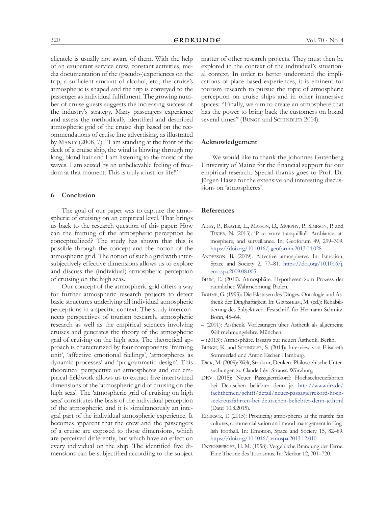clientele is usually not aware of them. With the help of an exuberant service crew, constant activities, media documentation of the (pseudo-)experiences on the trip, a sufficient amount of alcohol, etc., the cruise's atmospheric is shaped and the trip is conveyed to the passenger as individual fulfillment. The growing number of cruise guests suggests the increasing success of the industry's strategy. Many passengers experience and assess the methodically identified and described atmospheric grid of the cruise ship based on the recommendations of cruise line advertising, as illustrated by Manly (2008, 7): "I am standing at the front of the deck of a cruise ship, the wind is blowing through my long, blond hair and I am listening to the music of the waves. I am seized by an unbelievable feeling of freedom at that moment. This is truly a lust for life!"

#### **6 Conclusion**

The goal of our paper was to capture the atmospheric of cruising on an empirical level. That brings us back to the research question of this paper: How can the framing of the atmospheric perception be conceptualized? The study has shown that this is possible through the concept and the notion of the atmospheric grid. The notion of such a grid with intersubjectively effective dimensions allows us to explore and discuss the (individual) atmospheric perception of cruising on the high seas.

Our concept of the atmospheric grid offers a way for further atmospheric research projects to detect basic structures underlying all individual atmospheric perceptions in a specific context. The study interconnects perspectives of tourism research, atmospheric research as well as the empirical sciences involving cruises and generates the theory of the atmospheric grid of cruising on the high seas. The theoretical approach is characterized by four components: 'framing unit', 'affective emotional feelings', 'atmospheres as dynamic processes' and 'programmatic design'. This theoretical perspective on atmospheres and our empirical fieldwork allows us to extract five intertwined dimensions of the 'atmospheric grid of cruising on the high seas'. The 'atmospheric grid of cruising on high seas' constitutes the basis of the individual perception of the atmospheric, and it is simultaneously an integral part of the individual atmospheric experience. It becomes apparent that the crew and the passengers of a cruise are exposed to those dimensions, which are perceived differently, but which have an effect on every individual on the ship. The identified five dimensions can be subjectified according to the subject matter of other research projects. They must then be explored in the context of the individual's situational context. In order to better understand the implications of place-based experiences, it is eminent for tourism research to pursue the topic of atmospheric perception on cruise ships and in other immersive spaces: "Finally, we aim to create an atmosphere that has the power to bring back the customers on board several times" (BUNGE and SCHINDLER 2014).

#### **Acknowledgement**

We would like to thank the Johannes Gutenberg University of Mainz for the financial support for our empirical research. Special thanks goes to Prof. Dr. Jürgen Hasse for the extensive and interesting discussions on 'atmospheres'.

#### **References**

- Adey, P., Brayer, L., Masson, D., Murphy, P., Simpson, P. and TIXIER, N. (2013): 'Pour votre tranquillité': Ambiance, atmosphere, and surveillance. In: Geoforum 49, 299–309. <https://doi.org/10.1016/j.geoforum.2013.04.028>
- Anderson, B. (2009): Affective atmospheres. In: Emotion, Space and Society 2, 77–81. [https://doi.org/10.1016/j.](https://doi.org/10.1016/j.emospa.2009.08.005 
) [emospa.2009.08.005](https://doi.org/10.1016/j.emospa.2009.08.005 
)
- Blum, E. (2010): Atmosphäre. Hypothesen zum Prozess der räumlichen Wahrnehmung. Baden.
- Böhme, G. (1993): Die Ekstasen des Dinges. Ontologie und Ästhetik der Dinghaftigkeit. In: GROSSHEIM, M. (ed.): Rehabilitierung des Subjektiven. Festschrift für Hermann Schmitz. Bonn, 45–64.
- (2001): Aisthetik. Vorlesungen über Ästhetik als allgemeine Wahrnehmungslehre. München.
- (2013): Atmosphäre. Essays zur neuen Ästhetik. Berlin.
- BUNGE, K. and SCHINDLER, S. (2014): Interview von Elisabeth Sommerlad und Anton Escher. Hamburg.
- Dick, M. (2009): Welt, Struktur, Denken. Philosophische Untersuchungen zu Claude Lévi-Strauss. Würzburg.
- DRV (2015): Neuer Passagierrekord: Hochseekreuzfahrten bei Deutschen beliebter denn je. [http://www.drv.de/](http://www.drv.de/fachthemen/schiff/detail/neuer-passagierrekord-hochseekreuzfahrten-bei-deutschen-beliebter-denn-je.html ) [fachthemen/schiff/detail/neuer-passagierrekord-hoch](http://www.drv.de/fachthemen/schiff/detail/neuer-passagierrekord-hochseekreuzfahrten-bei-deutschen-beliebter-denn-je.html )[seekreuzfahrten-bei-deutschen-beliebter-denn-je.html](http://www.drv.de/fachthemen/schiff/detail/neuer-passagierrekord-hochseekreuzfahrten-bei-deutschen-beliebter-denn-je.html )  (Date: 10.8.2015).
- EDENSOR, T. (2015): Producing atmospheres at the match: fan cultures, commercialisation and mood management in English football. In: Emotion, Space and Society 15, 82–89. <https://doi.org/10.1016/j.emospa.2013.12.010>
- Enzensberger, H. M. (1958): Vergebliche Brandung der Ferne. Eine Theorie des Tourismus. In: Merkur 12, 701–720.